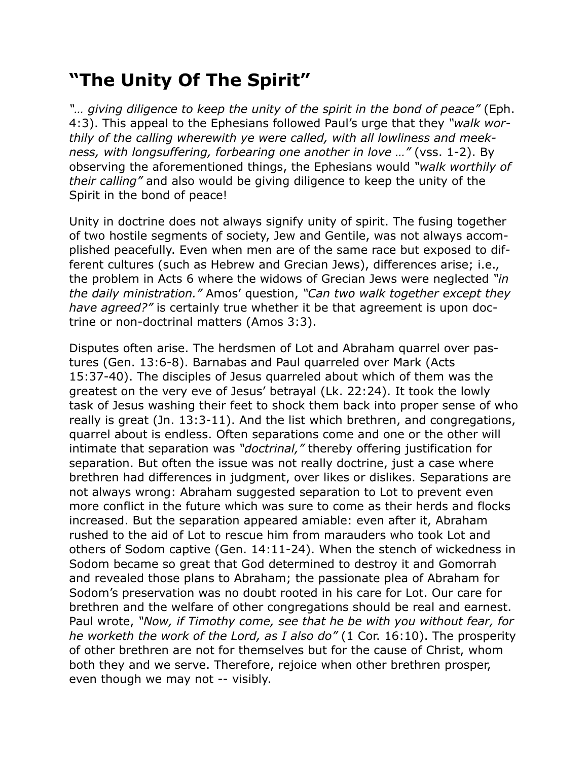## **"The Unity Of The Spirit"**

*"… giving diligence to keep the unity of the spirit in the bond of peace"* (Eph. 4:3). This appeal to the Ephesians followed Paul's urge that they *"walk worthily of the calling wherewith ye were called, with all lowliness and meekness, with longsuffering, forbearing one another in love …"* (vss. 1-2). By observing the aforementioned things, the Ephesians would *"walk worthily of their calling"* and also would be giving diligence to keep the unity of the Spirit in the bond of peace!

Unity in doctrine does not always signify unity of spirit. The fusing together of two hostile segments of society, Jew and Gentile, was not always accomplished peacefully. Even when men are of the same race but exposed to different cultures (such as Hebrew and Grecian Jews), differences arise; i.e., the problem in Acts 6 where the widows of Grecian Jews were neglected *"in the daily ministration."* Amos' question, *"Can two walk together except they have agreed?"* is certainly true whether it be that agreement is upon doctrine or non-doctrinal matters (Amos 3:3).

Disputes often arise. The herdsmen of Lot and Abraham quarrel over pastures (Gen. 13:6-8). Barnabas and Paul quarreled over Mark (Acts 15:37-40). The disciples of Jesus quarreled about which of them was the greatest on the very eve of Jesus' betrayal (Lk. 22:24). It took the lowly task of Jesus washing their feet to shock them back into proper sense of who really is great (Jn. 13:3-11). And the list which brethren, and congregations, quarrel about is endless. Often separations come and one or the other will intimate that separation was *"doctrinal,"* thereby offering justification for separation. But often the issue was not really doctrine, just a case where brethren had differences in judgment, over likes or dislikes. Separations are not always wrong: Abraham suggested separation to Lot to prevent even more conflict in the future which was sure to come as their herds and flocks increased. But the separation appeared amiable: even after it, Abraham rushed to the aid of Lot to rescue him from marauders who took Lot and others of Sodom captive (Gen. 14:11-24). When the stench of wickedness in Sodom became so great that God determined to destroy it and Gomorrah and revealed those plans to Abraham; the passionate plea of Abraham for Sodom's preservation was no doubt rooted in his care for Lot. Our care for brethren and the welfare of other congregations should be real and earnest. Paul wrote, *"Now, if Timothy come, see that he be with you without fear, for he worketh the work of the Lord, as I also do"* (1 Cor. 16:10). The prosperity of other brethren are not for themselves but for the cause of Christ, whom both they and we serve. Therefore, rejoice when other brethren prosper, even though we may not -- visibly.